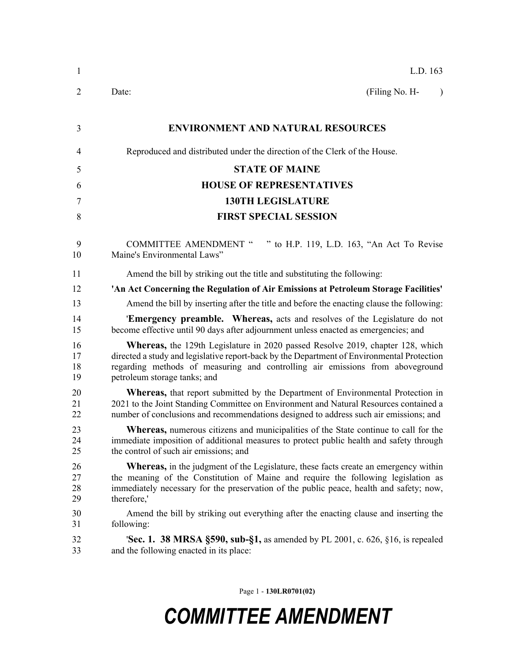| $\mathbf{1}$         | L.D. 163                                                                                                                                                                                                                                                                                             |  |  |  |
|----------------------|------------------------------------------------------------------------------------------------------------------------------------------------------------------------------------------------------------------------------------------------------------------------------------------------------|--|--|--|
| 2                    | (Filing No. H-<br>Date:<br>$\lambda$                                                                                                                                                                                                                                                                 |  |  |  |
| 3                    | <b>ENVIRONMENT AND NATURAL RESOURCES</b>                                                                                                                                                                                                                                                             |  |  |  |
| $\overline{4}$       | Reproduced and distributed under the direction of the Clerk of the House.                                                                                                                                                                                                                            |  |  |  |
| 5                    | <b>STATE OF MAINE</b>                                                                                                                                                                                                                                                                                |  |  |  |
| 6                    | <b>HOUSE OF REPRESENTATIVES</b>                                                                                                                                                                                                                                                                      |  |  |  |
| 7                    | <b>130TH LEGISLATURE</b>                                                                                                                                                                                                                                                                             |  |  |  |
| 8                    | <b>FIRST SPECIAL SESSION</b>                                                                                                                                                                                                                                                                         |  |  |  |
| 9<br>10              | " to H.P. 119, L.D. 163, "An Act To Revise<br><b>COMMITTEE AMENDMENT "</b><br>Maine's Environmental Laws"                                                                                                                                                                                            |  |  |  |
| 11                   | Amend the bill by striking out the title and substituting the following:                                                                                                                                                                                                                             |  |  |  |
| 12                   | 'An Act Concerning the Regulation of Air Emissions at Petroleum Storage Facilities'                                                                                                                                                                                                                  |  |  |  |
| 13                   | Amend the bill by inserting after the title and before the enacting clause the following:                                                                                                                                                                                                            |  |  |  |
| 14<br>15             | <b>Emergency preamble.</b> Whereas, acts and resolves of the Legislature do not<br>become effective until 90 days after adjournment unless enacted as emergencies; and                                                                                                                               |  |  |  |
| 16<br>17<br>18<br>19 | <b>Whereas,</b> the 129th Legislature in 2020 passed Resolve 2019, chapter 128, which<br>directed a study and legislative report-back by the Department of Environmental Protection<br>regarding methods of measuring and controlling air emissions from aboveground<br>petroleum storage tanks; and |  |  |  |
| 20<br>21<br>22       | <b>Whereas,</b> that report submitted by the Department of Environmental Protection in<br>2021 to the Joint Standing Committee on Environment and Natural Resources contained a<br>number of conclusions and recommendations designed to address such air emissions; and                             |  |  |  |
| 23<br>24<br>25       | <b>Whereas,</b> numerous citizens and municipalities of the State continue to call for the<br>immediate imposition of additional measures to protect public health and safety through<br>the control of such air emissions; and                                                                      |  |  |  |
| 26<br>27<br>28<br>29 | <b>Whereas,</b> in the judgment of the Legislature, these facts create an emergency within<br>the meaning of the Constitution of Maine and require the following legislation as<br>immediately necessary for the preservation of the public peace, health and safety; now,<br>therefore,'            |  |  |  |
| 30<br>31             | Amend the bill by striking out everything after the enacting clause and inserting the<br>following:                                                                                                                                                                                                  |  |  |  |
| 32<br>33             | <b>Sec. 1. 38 MRSA §590, sub-§1,</b> as amended by PL 2001, c. 626, §16, is repealed<br>and the following enacted in its place:                                                                                                                                                                      |  |  |  |
|                      |                                                                                                                                                                                                                                                                                                      |  |  |  |

Page 1 - **130LR0701(02)**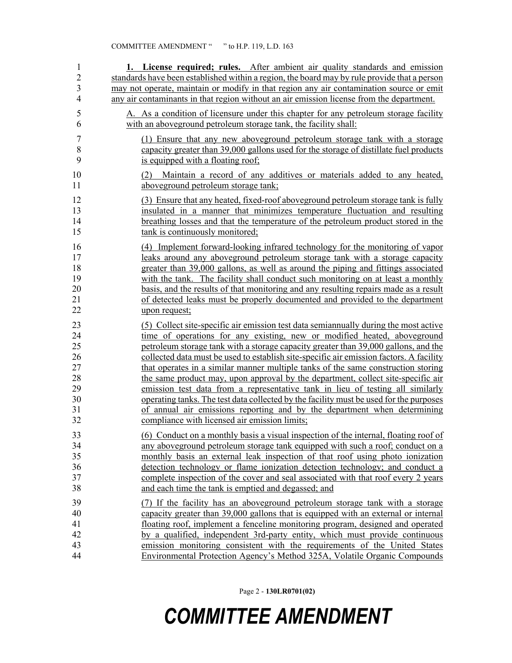| 1              | 1. License required; rules. After ambient air quality standards and emission                                       |
|----------------|--------------------------------------------------------------------------------------------------------------------|
| $\overline{2}$ | standards have been established within a region, the board may by rule provide that a person                       |
| 3              | may not operate, maintain or modify in that region any air contamination source or emit                            |
| $\overline{4}$ | any air contaminants in that region without an air emission license from the department.                           |
| 5              | A. As a condition of licensure under this chapter for any petroleum storage facility                               |
| 6              | with an aboveground petroleum storage tank, the facility shall:                                                    |
| $\tau$         | (1) Ensure that any new aboveground petroleum storage tank with a storage                                          |
| $\,$ $\,$      | capacity greater than 39,000 gallons used for the storage of distillate fuel products                              |
| 9              | is equipped with a floating roof;                                                                                  |
| 10<br>11       | Maintain a record of any additives or materials added to any heated,<br>(2)<br>aboveground petroleum storage tank; |
| 12             | (3) Ensure that any heated, fixed-roof aboveground petroleum storage tank is fully                                 |
| 13             | insulated in a manner that minimizes temperature fluctuation and resulting                                         |
| 14             | breathing losses and that the temperature of the petroleum product stored in the                                   |
| 15             | tank is continuously monitored;                                                                                    |
| 16             | (4) Implement forward-looking infrared technology for the monitoring of vapor                                      |
| 17             | leaks around any aboveground petroleum storage tank with a storage capacity                                        |
| 18             | greater than 39,000 gallons, as well as around the piping and fittings associated                                  |
| 19             | with the tank. The facility shall conduct such monitoring on at least a monthly                                    |
| 20             | basis, and the results of that monitoring and any resulting repairs made as a result                               |
| 21             | of detected leaks must be properly documented and provided to the department                                       |
| 22             | upon request;                                                                                                      |
| 23             | (5) Collect site-specific air emission test data semian mually during the most active                              |
| 24             | time of operations for any existing, new or modified heated, above ground                                          |
| 25             | petroleum storage tank with a storage capacity greater than 39,000 gallons, and the                                |
| 26             | collected data must be used to establish site-specific air emission factors. A facility                            |
| 27             | that operates in a similar manner multiple tanks of the same construction storing                                  |
| 28             | the same product may, upon approval by the department, collect site-specific air                                   |
| 29             | emission test data from a representative tank in lieu of testing all similarly                                     |
| 30             | operating tanks. The test data collected by the facility must be used for the purposes                             |
| 31             | of annual air emissions reporting and by the department when determining                                           |
| 32             | compliance with licensed air emission limits;                                                                      |
| 33             | (6) Conduct on a monthly basis a visual inspection of the internal, floating roof of                               |
| 34             | any aboveground petroleum storage tank equipped with such a roof; conduct on a                                     |
| 35             | monthly basis an external leak inspection of that roof using photo ionization                                      |
| 36             | detection technology or flame ionization detection technology; and conduct a                                       |
| 37             | complete inspection of the cover and seal associated with that roof every 2 years                                  |
| 38             | and each time the tank is emptied and degassed; and                                                                |
| 39             | (7) If the facility has an aboveground petroleum storage tank with a storage                                       |
| 40             | capacity greater than 39,000 gallons that is equipped with an external or internal                                 |
| 41             | floating roof, implement a fenceline monitoring program, designed and operated                                     |
| 42             | by a qualified, independent 3rd-party entity, which must provide continuous                                        |
| 43             | emission monitoring consistent with the requirements of the United States                                          |
| 44             | Environmental Protection Agency's Method 325A, Volatile Organic Compounds                                          |

Page 2 - **130LR0701(02)**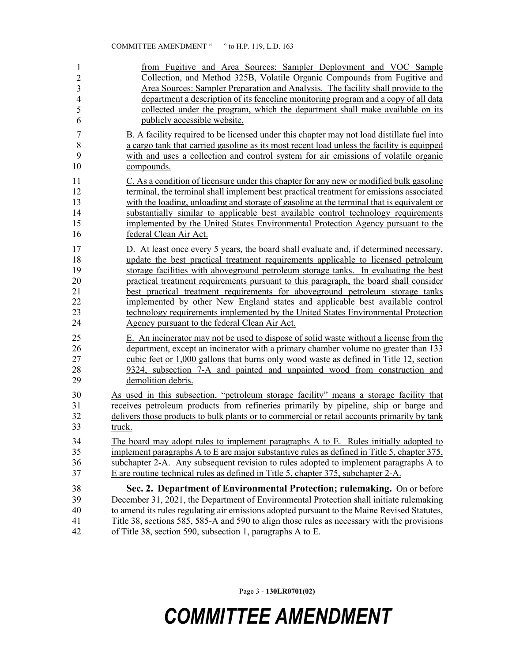| 1              | from Fugitive and Area Sources: Sampler Deployment and VOC Sample                            |
|----------------|----------------------------------------------------------------------------------------------|
| $\overline{2}$ | Collection, and Method 325B, Volatile Organic Compounds from Fugitive and                    |
| $\mathfrak{Z}$ | Area Sources: Sampler Preparation and Analysis. The facility shall provide to the            |
| $\overline{4}$ | department a description of its fenceline monitoring program and a copy of all data          |
| 5              | collected under the program, which the department shall make available on its                |
| 6              | publicly accessible website.                                                                 |
| $\overline{7}$ | B. A facility required to be licensed under this chapter may not load distillate fuel into   |
| 8              | a cargo tank that carried gasoline as its most recent load unless the facility is equipped   |
| 9              | with and uses a collection and control system for air emissions of volatile organic          |
| 10             | compounds.                                                                                   |
| 11             | C. As a condition of licensure under this chapter for any new or modified bulk gasoline      |
| 12             | terminal, the terminal shall implement best practical treatment for emissions associated     |
| 13             | with the loading, unloading and storage of gasoline at the terminal that is equivalent or    |
| 14             | substantially similar to applicable best available control technology requirements           |
| 15             | implemented by the United States Environmental Protection Agency pursuant to the             |
| 16             | federal Clean Air Act.                                                                       |
| 17             | D. At least once every 5 years, the board shall evaluate and, if determined necessary,       |
| 18             | update the best practical treatment requirements applicable to licensed petroleum            |
| 19             | storage facilities with aboveground petroleum storage tanks. In evaluating the best          |
| 20             | practical treatment requirements pursuant to this paragraph, the board shall consider        |
| 21             | best practical treatment requirements for above ground petroleum storage tanks               |
| 22             | implemented by other New England states and applicable best available control                |
| 23             | technology requirements implemented by the United States Environmental Protection            |
| 24             | Agency pursuant to the federal Clean Air Act.                                                |
| 25             | E. An incinerator may not be used to dispose of solid waste without a license from the       |
| 26             | department, except an incinerator with a primary chamber volume no greater than 133          |
| 27             | cubic feet or 1,000 gallons that burns only wood waste as defined in Title 12, section       |
| 28             | 9324, subsection 7-A and painted and unpainted wood from construction and                    |
| 29             | demolition debris.                                                                           |
| 30             | As used in this subsection, "petroleum storage facility" means a storage facility that       |
| 31             | receives petroleum products from refineries primarily by pipeline, ship or barge and         |
| 32             | delivers those products to bulk plants or to commercial or retail accounts primarily by tank |
| 33             | truck.                                                                                       |
| 34             | The board may adopt rules to implement paragraphs A to E. Rules initially adopted to         |
| 35             | implement paragraphs A to E are major substantive rules as defined in Title 5, chapter 375,  |
| 36             | subchapter 2-A. Any subsequent revision to rules adopted to implement paragraphs A to        |
| 37             | E are routine technical rules as defined in Title 5, chapter 375, subchapter 2-A.            |
| 38             | Sec. 2. Department of Environmental Protection; rulemaking. On or before                     |
| 39             | December 31, 2021, the Department of Environmental Protection shall initiate rulemaking      |
| 40             | to amend its rules regulating air emissions adopted pursuant to the Maine Revised Statutes,  |
| 41             | Title 38, sections 585, 585-A and 590 to align those rules as necessary with the provisions  |
| 42             | of Title 38, section 590, subsection 1, paragraphs A to E.                                   |

Page 3 - **130LR0701(02)**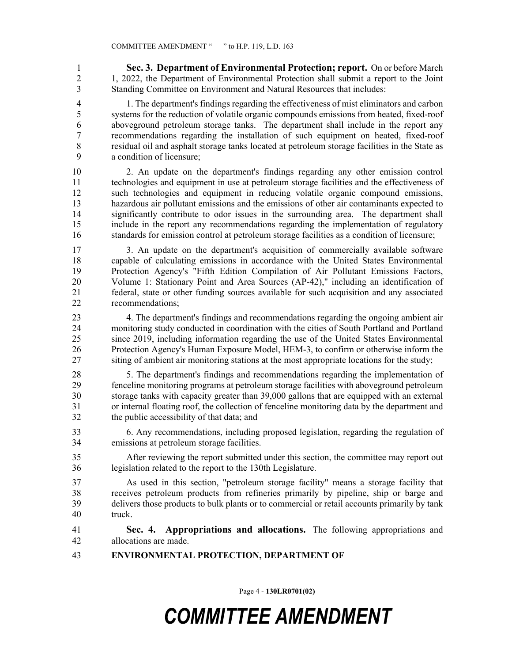1 **Sec. 3. Department of Environmental Protection; report.** On or before March 2 1, 2022, the Department of Environmental Protection shall submit a report to the Joint 3 Standing Committee on Environment and Natural Resources that includes:

4 1. The department's findings regarding the effectiveness of mist eliminators and carbon 5 systems for the reduction of volatile organic compounds emissions from heated, fixed-roof 6 aboveground petroleum storage tanks. The department shall include in the report any 7 recommendations regarding the installation of such equipment on heated, fixed-roof 8 residual oil and asphalt storage tanks located at petroleum storage facilities in the State as 9 a condition of licensure;

10 2. An update on the department's findings regarding any other emission control 11 technologies and equipment in use at petroleum storage facilities and the effectiveness of 12 such technologies and equipment in reducing volatile organic compound emissions, 13 hazardous air pollutant emissions and the emissions of other air contaminants expected to 14 significantly contribute to odor issues in the surrounding area. The department shall 15 include in the report any recommendations regarding the implementation of regulatory 16 standards for emission control at petroleum storage facilities as a condition of licensure;

17 3. An update on the department's acquisition of commercially available software 18 capable of calculating emissions in accordance with the United States Environmental 19 Protection Agency's "Fifth Edition Compilation of Air Pollutant Emissions Factors, 20 Volume 1: Stationary Point and Area Sources (AP-42)," including an identification of 21 federal, state or other funding sources available for such acquisition and any associated 22 recommendations;

23 4. The department's findings and recommendations regarding the ongoing ambient air 24 monitoring study conducted in coordination with the cities of South Portland and Portland 25 since 2019, including information regarding the use of the United States Environmental 26 Protection Agency's Human Exposure Model, HEM-3, to confirm or otherwise inform the 27 siting of ambient air monitoring stations at the most appropriate locations for the study;

28 5. The department's findings and recommendations regarding the implementation of 29 fenceline monitoring programs at petroleum storage facilities with aboveground petroleum 30 storage tanks with capacity greater than 39,000 gallons that are equipped with an external 31 or internal floating roof, the collection of fenceline monitoring data by the department and 32 the public accessibility of that data; and

33 6. Any recommendations, including proposed legislation, regarding the regulation of 34 emissions at petroleum storage facilities.

35 After reviewing the report submitted under this section, the committee may report out 36 legislation related to the report to the 130th Legislature.

37 As used in this section, "petroleum storage facility" means a storage facility that 38 receives petroleum products from refineries primarily by pipeline, ship or barge and 39 delivers those products to bulk plants or to commercial or retail accounts primarily by tank 40 truck.

- 41 **Sec. 4. Appropriations and allocations.** The following appropriations and 42 allocations are made.
- 43 **ENVIRONMENTAL PROTECTION, DEPARTMENT OF**

Page 4 - **130LR0701(02)**